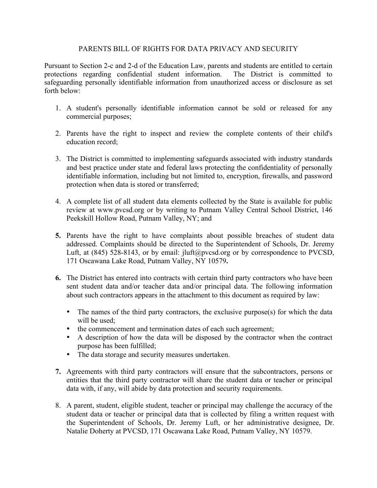## PARENTS BILL OF RIGHTS FOR DATA PRIVACY AND SECURITY

Pursuant to Section 2-c and 2-d of the Education Law, parents and students are entitled to certain protections regarding confidential student information. The District is committed to safeguarding personally identifiable information from unauthorized access or disclosure as set forth below:

- 1. A student's personally identifiable information cannot be sold or released for any commercial purposes;
- 2. Parents have the right to inspect and review the complete contents of their child's education record;
- 3. The District is committed to implementing safeguards associated with industry standards and best practice under state and federal laws protecting the confidentiality of personally identifiable information, including but not limited to, encryption, firewalls, and password protection when data is stored or transferred;
- 4. A complete list of all student data elements collected by the State is available for public review at www.pvcsd.org or by writing to Putnam Valley Central School District, 146 Peekskill Hollow Road, Putnam Valley, NY; and
- **5.** Parents have the right to have complaints about possible breaches of student data addressed. Complaints should be directed to the Superintendent of Schools, Dr. Jeremy Luft, at (845) 528-8143, or by email: jluft@pvcsd.org or by correspondence to PVCSD, 171 Oscawana Lake Road, Putnam Valley, NY 10579**.**
- **6.** The District has entered into contracts with certain third party contractors who have been sent student data and/or teacher data and/or principal data. The following information about such contractors appears in the attachment to this document as required by law:
	- The names of the third party contractors, the exclusive purpose(s) for which the data will be used:
	- the commencement and termination dates of each such agreement;
	- A description of how the data will be disposed by the contractor when the contract purpose has been fulfilled;
	- The data storage and security measures undertaken.
- **7.** Agreements with third party contractors will ensure that the subcontractors, persons or entities that the third party contractor will share the student data or teacher or principal data with, if any, will abide by data protection and security requirements.
- 8. A parent, student, eligible student, teacher or principal may challenge the accuracy of the student data or teacher or principal data that is collected by filing a written request with the Superintendent of Schools, Dr. Jeremy Luft, or her administrative designee, Dr. Natalie Doherty at PVCSD, 171 Oscawana Lake Road, Putnam Valley, NY 10579.